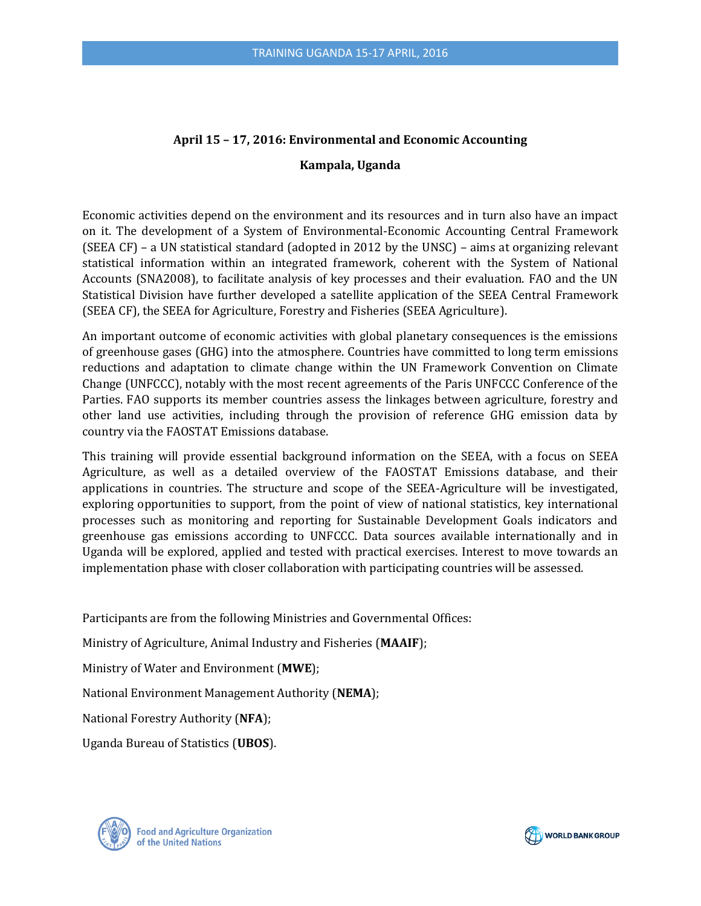# **April 15 – 17, 2016: Environmental and Economic Accounting**

### **Kampala, Uganda**

Economic activities depend on the environment and its resources and in turn also have an impact on it. The development of a System of Environmental-Economic Accounting Central Framework (SEEA CF) – a UN statistical standard (adopted in 2012 by the UNSC) – aims at organizing relevant statistical information within an integrated framework, coherent with the System of National Accounts (SNA2008), to facilitate analysis of key processes and their evaluation. FAO and the UN Statistical Division have further developed a satellite application of the SEEA Central Framework (SEEA CF), the SEEA for Agriculture, Forestry and Fisheries (SEEA Agriculture).

An important outcome of economic activities with global planetary consequences is the emissions of greenhouse gases (GHG) into the atmosphere. Countries have committed to long term emissions reductions and adaptation to climate change within the UN Framework Convention on Climate Change (UNFCCC), notably with the most recent agreements of the Paris UNFCCC Conference of the Parties. FAO supports its member countries assess the linkages between agriculture, forestry and other land use activities, including through the provision of reference GHG emission data by country via the FAOSTAT Emissions database.

This training will provide essential background information on the SEEA, with a focus on SEEA Agriculture, as well as a detailed overview of the FAOSTAT Emissions database, and their applications in countries. The structure and scope of the SEEA-Agriculture will be investigated, exploring opportunities to support, from the point of view of national statistics, key international processes such as monitoring and reporting for Sustainable Development Goals indicators and greenhouse gas emissions according to UNFCCC. Data sources available internationally and in Uganda will be explored, applied and tested with practical exercises. Interest to move towards an implementation phase with closer collaboration with participating countries will be assessed.

Participants are from the following Ministries and Governmental Offices: Ministry of Agriculture, Animal Industry and Fisheries (**MAAIF**); Ministry of Water and Environment (**MWE**); National Environment Management Authority (**NEMA**); National Forestry Authority (**NFA**); Uganda Bureau of Statistics (**UBOS**).



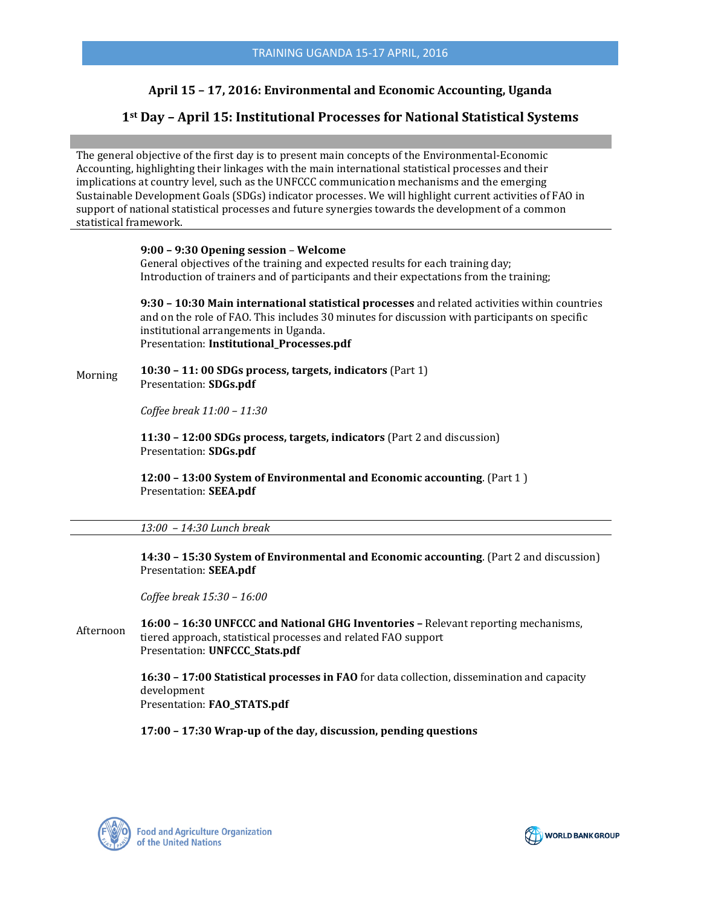# **April 15 – 17, 2016: Environmental and Economic Accounting, Uganda**

# **1st Day – April 15: Institutional Processes for National Statistical Systems**

The general objective of the first day is to present main concepts of the Environmental-Economic Accounting, highlighting their linkages with the main international statistical processes and their implications at country level, such as the UNFCCC communication mechanisms and the emerging Sustainable Development Goals (SDGs) indicator processes. We will highlight current activities of FAO in support of national statistical processes and future synergies towards the development of a common statistical framework.

#### **9:00 – 9:30 Opening session** – **Welcome**

General objectives of the training and expected results for each training day; Introduction of trainers and of participants and their expectations from the training;

**9:30 – 10:30 Main international statistical processes** and related activities within countries and on the role of FAO. This includes 30 minutes for discussion with participants on specific institutional arrangements in Uganda. Presentation: **Institutional\_Processes.pdf**

Morning **10:30 – 11: 00 SDGs process, targets, indicators** (Part 1) Presentation: **SDGs.pdf**

*Coffee break 11:00 – 11:30*

**11:30 – 12:00 SDGs process, targets, indicators** (Part 2 and discussion) Presentation: **SDGs.pdf**

**12:00 – 13:00 System of Environmental and Economic accounting**. (Part 1 ) Presentation: **SEEA.pdf**

#### *13:00 – 14:30 Lunch break*

**14:30 – 15:30 System of Environmental and Economic accounting**. (Part 2 and discussion) Presentation: **SEEA.pdf**

*Coffee break 15:30 – 16:00*

Afternoon **16:00 – 16:30 UNFCCC and National GHG Inventories –** Relevant reporting mechanisms, tiered approach, statistical processes and related FAO support Presentation: **UNFCCC\_Stats.pdf**

> **16:30 – 17:00 Statistical processes in FAO** for data collection, dissemination and capacity development Presentation: **FAO\_STATS.pdf**

**17:00 – 17:30 Wrap-up of the day, discussion, pending questions** 



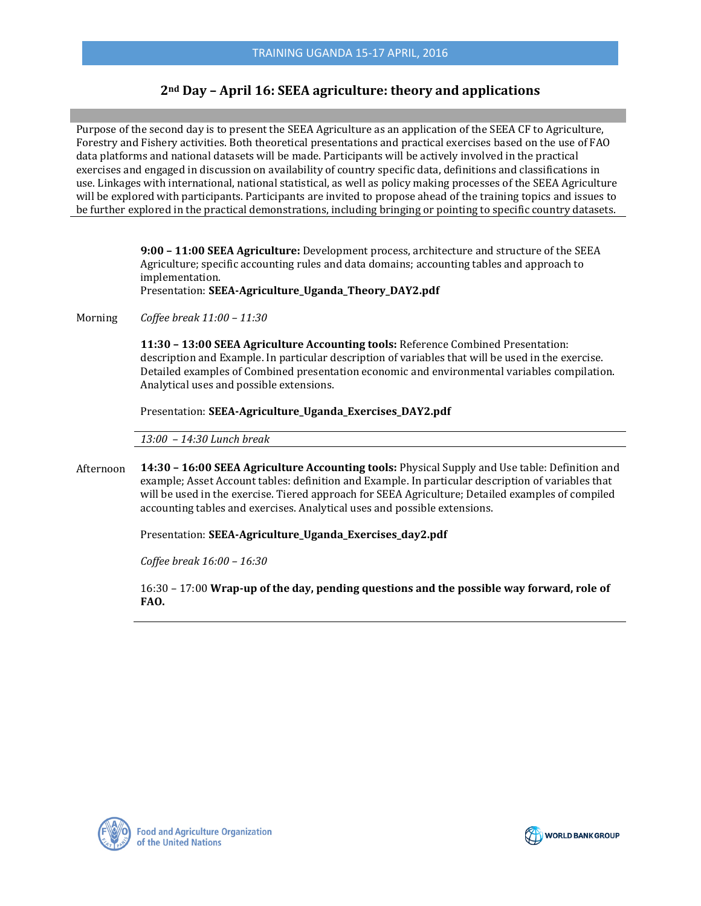# **2nd Day – April 16: SEEA agriculture: theory and applications**

Purpose of the second day is to present the SEEA Agriculture as an application of the SEEA CF to Agriculture, Forestry and Fishery activities. Both theoretical presentations and practical exercises based on the use of FAO data platforms and national datasets will be made. Participants will be actively involved in the practical exercises and engaged in discussion on availability of country specific data, definitions and classifications in use. Linkages with international, national statistical, as well as policy making processes of the SEEA Agriculture will be explored with participants. Participants are invited to propose ahead of the training topics and issues to be further explored in the practical demonstrations, including bringing or pointing to specific country datasets.

> **9:00 – 11:00 SEEA Agriculture:** Development process, architecture and structure of the SEEA Agriculture; specific accounting rules and data domains; accounting tables and approach to implementation. Presentation: **SEEA-Agriculture\_Uganda\_Theory\_DAY2.pdf**

Morning *Coffee break 11:00 – 11:30*

> **11:30 – 13:00 SEEA Agriculture Accounting tools:** Reference Combined Presentation: description and Example. In particular description of variables that will be used in the exercise. Detailed examples of Combined presentation economic and environmental variables compilation. Analytical uses and possible extensions.

Presentation: **SEEA-Agriculture\_Uganda\_Exercises\_DAY2.pdf**

*13:00 – 14:30 Lunch break*

Afternoon **14:30 – 16:00 SEEA Agriculture Accounting tools:** Physical Supply and Use table: Definition and example; Asset Account tables: definition and Example. In particular description of variables that will be used in the exercise. Tiered approach for SEEA Agriculture; Detailed examples of compiled accounting tables and exercises. Analytical uses and possible extensions.

Presentation: **SEEA-Agriculture\_Uganda\_Exercises\_day2.pdf**

*Coffee break 16:00 – 16:30*

16:30 – 17:00 **Wrap-up of the day, pending questions and the possible way forward, role of FAO.** 



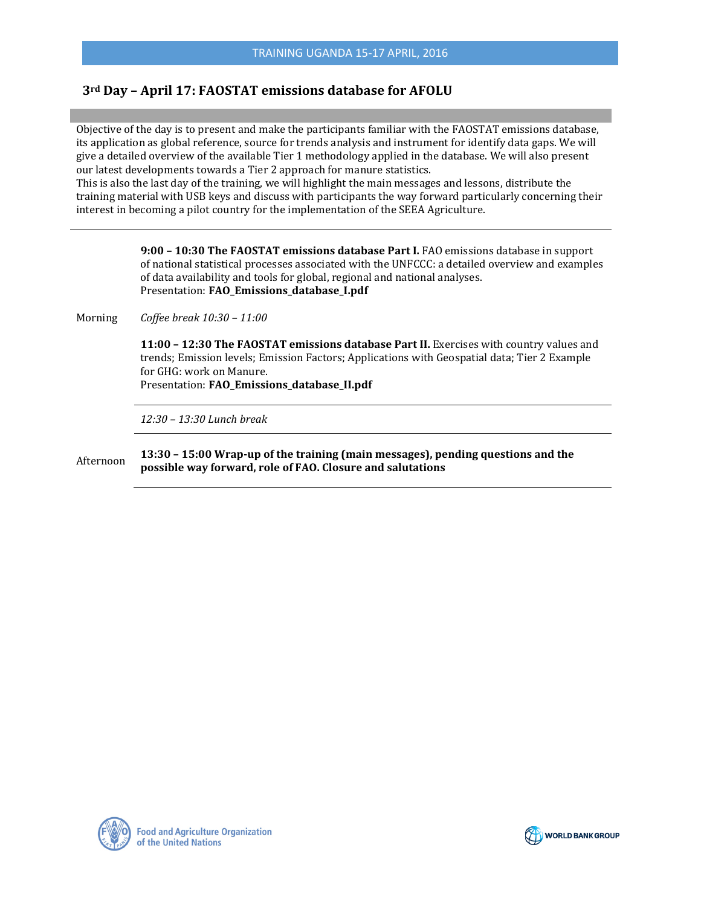# **3rd Day – April 17: FAOSTAT emissions database for AFOLU**

Objective of the day is to present and make the participants familiar with the FAOSTAT emissions database, its application as global reference, source for trends analysis and instrument for identify data gaps. We will give a detailed overview of the available Tier 1 methodology applied in the database. We will also present our latest developments towards a Tier 2 approach for manure statistics.

This is also the last day of the training, we will highlight the main messages and lessons, distribute the training material with USB keys and discuss with participants the way forward particularly concerning their interest in becoming a pilot country for the implementation of the SEEA Agriculture.

> **9:00 – 10:30 The FAOSTAT emissions database Part I.** FAO emissions database in support of national statistical processes associated with the UNFCCC: a detailed overview and examples of data availability and tools for global, regional and national analyses. Presentation: **FAO Emissions database I.pdf**

Morning *Coffee break 10:30 – 11:00*

> **11:00 – 12:30 The FAOSTAT emissions database Part II.** Exercises with country values and trends; Emission levels; Emission Factors; Applications with Geospatial data; Tier 2 Example for GHG: work on Manure.

Presentation: **FAO\_Emissions\_database\_II.pdf**

*12:30 – 13:30 Lunch break*

Afternoon **13:30 – 15:00 Wrap-up of the training (main messages), pending questions and the possible way forward, role of FAO. Closure and salutations** 



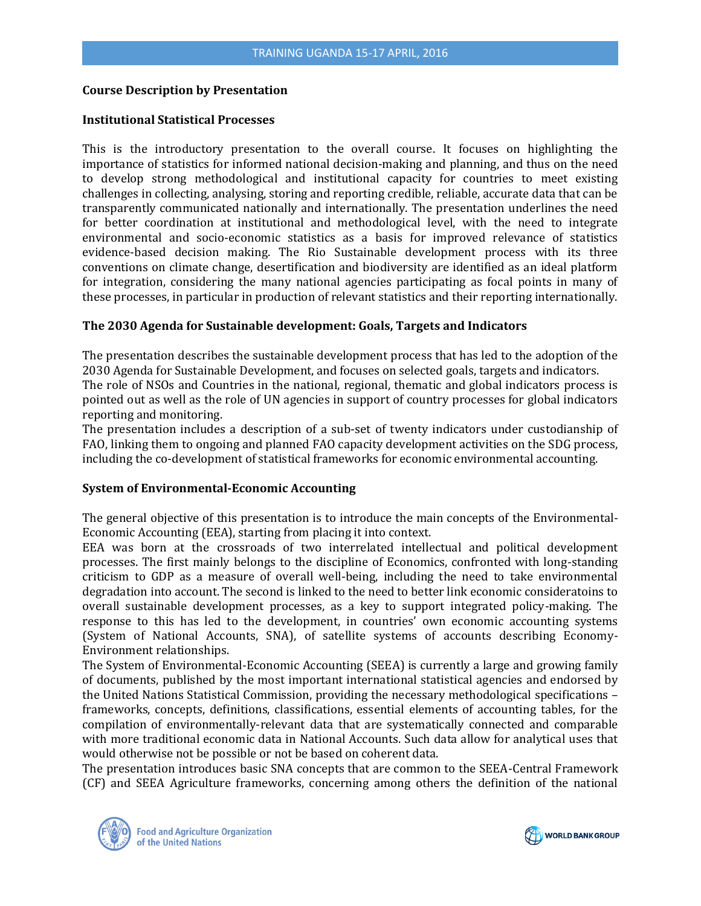#### **Course Description by Presentation**

#### **Institutional Statistical Processes**

This is the introductory presentation to the overall course. It focuses on highlighting the importance of statistics for informed national decision-making and planning, and thus on the need to develop strong methodological and institutional capacity for countries to meet existing challenges in collecting, analysing, storing and reporting credible, reliable, accurate data that can be transparently communicated nationally and internationally. The presentation underlines the need for better coordination at institutional and methodological level, with the need to integrate environmental and socio-economic statistics as a basis for improved relevance of statistics evidence-based decision making. The Rio Sustainable development process with its three conventions on climate change, desertification and biodiversity are identified as an ideal platform for integration, considering the many national agencies participating as focal points in many of these processes, in particular in production of relevant statistics and their reporting internationally.

#### **The 2030 Agenda for Sustainable development: Goals, Targets and Indicators**

The presentation describes the sustainable development process that has led to the adoption of the 2030 Agenda for Sustainable Development, and focuses on selected goals, targets and indicators. The role of NSOs and Countries in the national, regional, thematic and global indicators process is pointed out as well as the role of UN agencies in support of country processes for global indicators

reporting and monitoring.

The presentation includes a description of a sub-set of twenty indicators under custodianship of FAO, linking them to ongoing and planned FAO capacity development activities on the SDG process, including the co-development of statistical frameworks for economic environmental accounting.

#### **System of Environmental-Economic Accounting**

The general objective of this presentation is to introduce the main concepts of the Environmental-Economic Accounting (EEA), starting from placing it into context.

EEA was born at the crossroads of two interrelated intellectual and political development processes. The first mainly belongs to the discipline of Economics, confronted with long-standing criticism to GDP as a measure of overall well-being, including the need to take environmental degradation into account. The second is linked to the need to better link economic consideratoins to overall sustainable development processes, as a key to support integrated policy-making. The response to this has led to the development, in countries' own economic accounting systems (System of National Accounts, SNA), of satellite systems of accounts describing Economy-Environment relationships.

The System of Environmental-Economic Accounting (SEEA) is currently a large and growing family of documents, published by the most important international statistical agencies and endorsed by the United Nations Statistical Commission, providing the necessary methodological specifications – frameworks, concepts, definitions, classifications, essential elements of accounting tables, for the compilation of environmentally-relevant data that are systematically connected and comparable with more traditional economic data in National Accounts. Such data allow for analytical uses that would otherwise not be possible or not be based on coherent data.

The presentation introduces basic SNA concepts that are common to the SEEA-Central Framework (CF) and SEEA Agriculture frameworks, concerning among others the definition of the national



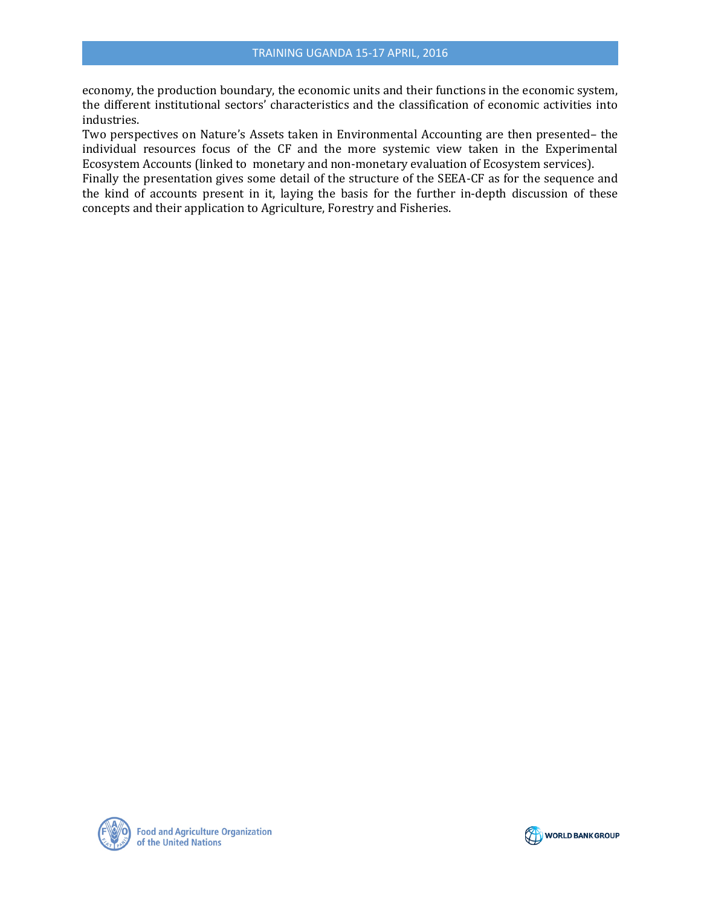economy, the production boundary, the economic units and their functions in the economic system, the different institutional sectors' characteristics and the classification of economic activities into industries.

Two perspectives on Nature's Assets taken in Environmental Accounting are then presented– the individual resources focus of the CF and the more systemic view taken in the Experimental Ecosystem Accounts (linked to monetary and non-monetary evaluation of Ecosystem services).

Finally the presentation gives some detail of the structure of the SEEA-CF as for the sequence and the kind of accounts present in it, laying the basis for the further in-depth discussion of these concepts and their application to Agriculture, Forestry and Fisheries.



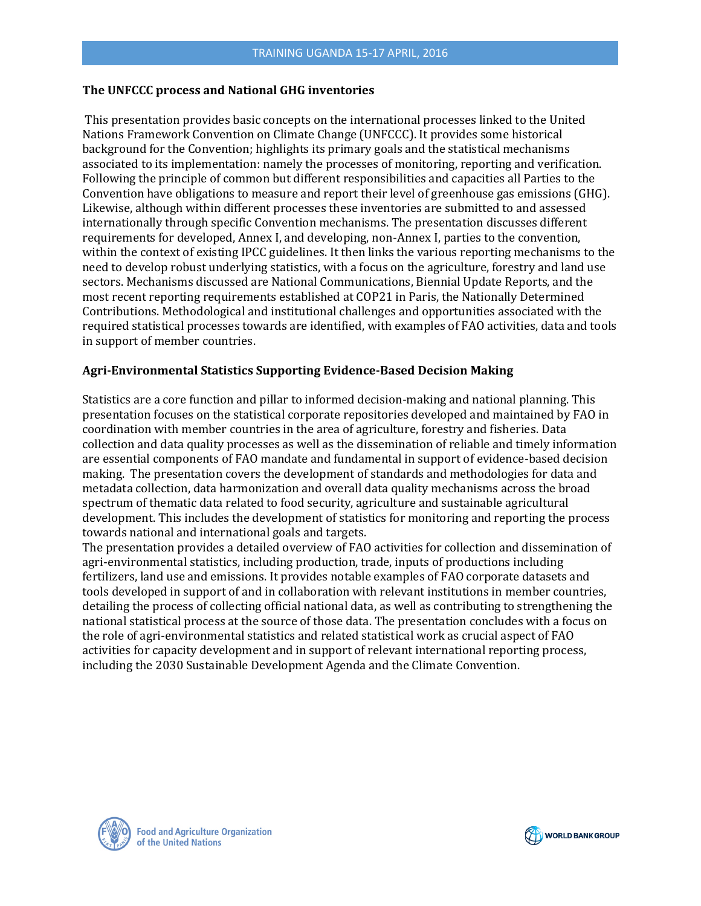### **The UNFCCC process and National GHG inventories**

This presentation provides basic concepts on the international processes linked to the United Nations Framework Convention on Climate Change (UNFCCC). It provides some historical background for the Convention; highlights its primary goals and the statistical mechanisms associated to its implementation: namely the processes of monitoring, reporting and verification. Following the principle of common but different responsibilities and capacities all Parties to the Convention have obligations to measure and report their level of greenhouse gas emissions (GHG). Likewise, although within different processes these inventories are submitted to and assessed internationally through specific Convention mechanisms. The presentation discusses different requirements for developed, Annex I, and developing, non-Annex I, parties to the convention, within the context of existing IPCC guidelines. It then links the various reporting mechanisms to the need to develop robust underlying statistics, with a focus on the agriculture, forestry and land use sectors. Mechanisms discussed are National Communications, Biennial Update Reports, and the most recent reporting requirements established at COP21 in Paris, the Nationally Determined Contributions. Methodological and institutional challenges and opportunities associated with the required statistical processes towards are identified, with examples of FAO activities, data and tools in support of member countries.

# **Agri-Environmental Statistics Supporting Evidence-Based Decision Making**

Statistics are a core function and pillar to informed decision-making and national planning. This presentation focuses on the statistical corporate repositories developed and maintained by FAO in coordination with member countries in the area of agriculture, forestry and fisheries. Data collection and data quality processes as well as the dissemination of reliable and timely information are essential components of FAO mandate and fundamental in support of evidence-based decision making. The presentation covers the development of standards and methodologies for data and metadata collection, data harmonization and overall data quality mechanisms across the broad spectrum of thematic data related to food security, agriculture and sustainable agricultural development. This includes the development of statistics for monitoring and reporting the process towards national and international goals and targets.

The presentation provides a detailed overview of FAO activities for collection and dissemination of agri-environmental statistics, including production, trade, inputs of productions including fertilizers, land use and emissions. It provides notable examples of FAO corporate datasets and tools developed in support of and in collaboration with relevant institutions in member countries, detailing the process of collecting official national data, as well as contributing to strengthening the national statistical process at the source of those data. The presentation concludes with a focus on the role of agri-environmental statistics and related statistical work as crucial aspect of FAO activities for capacity development and in support of relevant international reporting process, including the 2030 Sustainable Development Agenda and the Climate Convention.



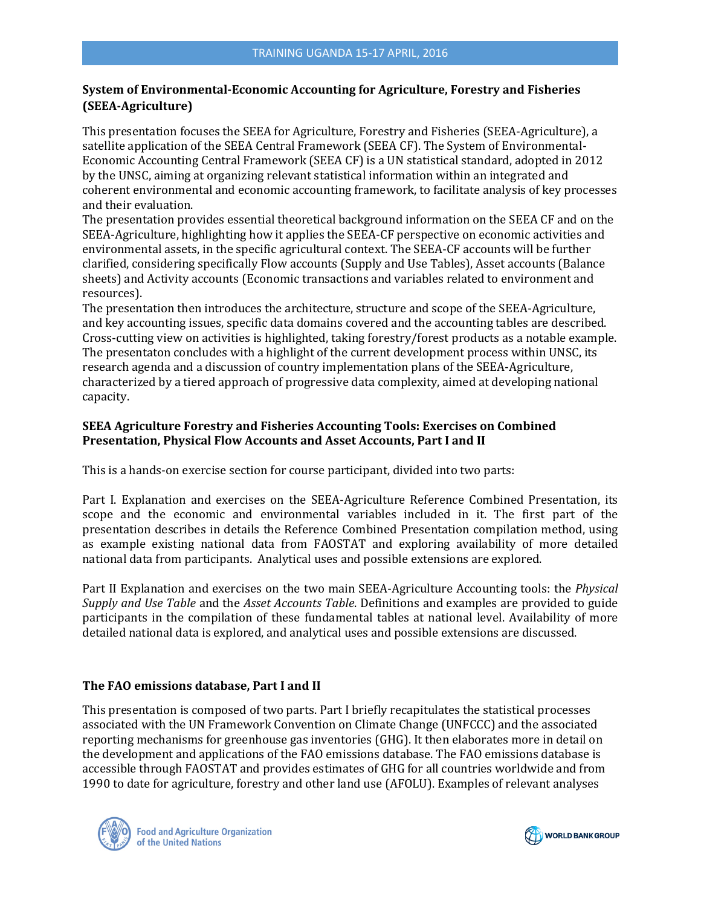# **System of Environmental-Economic Accounting for Agriculture, Forestry and Fisheries (SEEA-Agriculture)**

This presentation focuses the SEEA for Agriculture, Forestry and Fisheries (SEEA-Agriculture), a satellite application of the SEEA Central Framework (SEEA CF). The System of Environmental-Economic Accounting Central Framework (SEEA CF) is a UN statistical standard, adopted in 2012 by the UNSC, aiming at organizing relevant statistical information within an integrated and coherent environmental and economic accounting framework, to facilitate analysis of key processes and their evaluation.

The presentation provides essential theoretical background information on the SEEA CF and on the SEEA-Agriculture, highlighting how it applies the SEEA-CF perspective on economic activities and environmental assets, in the specific agricultural context. The SEEA-CF accounts will be further clarified, considering specifically Flow accounts (Supply and Use Tables), Asset accounts (Balance sheets) and Activity accounts (Economic transactions and variables related to environment and resources).

The presentation then introduces the architecture, structure and scope of the SEEA-Agriculture, and key accounting issues, specific data domains covered and the accounting tables are described. Cross-cutting view on activities is highlighted, taking forestry/forest products as a notable example. The presentaton concludes with a highlight of the current development process within UNSC, its research agenda and a discussion of country implementation plans of the SEEA-Agriculture, characterized by a tiered approach of progressive data complexity, aimed at developing national capacity.

# **SEEA Agriculture Forestry and Fisheries Accounting Tools: Exercises on Combined Presentation, Physical Flow Accounts and Asset Accounts, Part I and II**

This is a hands-on exercise section for course participant, divided into two parts:

Part I. Explanation and exercises on the SEEA-Agriculture Reference Combined Presentation, its scope and the economic and environmental variables included in it. The first part of the presentation describes in details the Reference Combined Presentation compilation method, using as example existing national data from FAOSTAT and exploring availability of more detailed national data from participants. Analytical uses and possible extensions are explored.

Part II Explanation and exercises on the two main SEEA-Agriculture Accounting tools: the *Physical Supply and Use Table* and the *Asset Accounts Table*. Definitions and examples are provided to guide participants in the compilation of these fundamental tables at national level. Availability of more detailed national data is explored, and analytical uses and possible extensions are discussed.

# **The FAO emissions database, Part I and II**

This presentation is composed of two parts. Part I briefly recapitulates the statistical processes associated with the UN Framework Convention on Climate Change (UNFCCC) and the associated reporting mechanisms for greenhouse gas inventories (GHG). It then elaborates more in detail on the development and applications of the FAO emissions database. The FAO emissions database is accessible through FAOSTAT and provides estimates of GHG for all countries worldwide and from 1990 to date for agriculture, forestry and other land use (AFOLU). Examples of relevant analyses